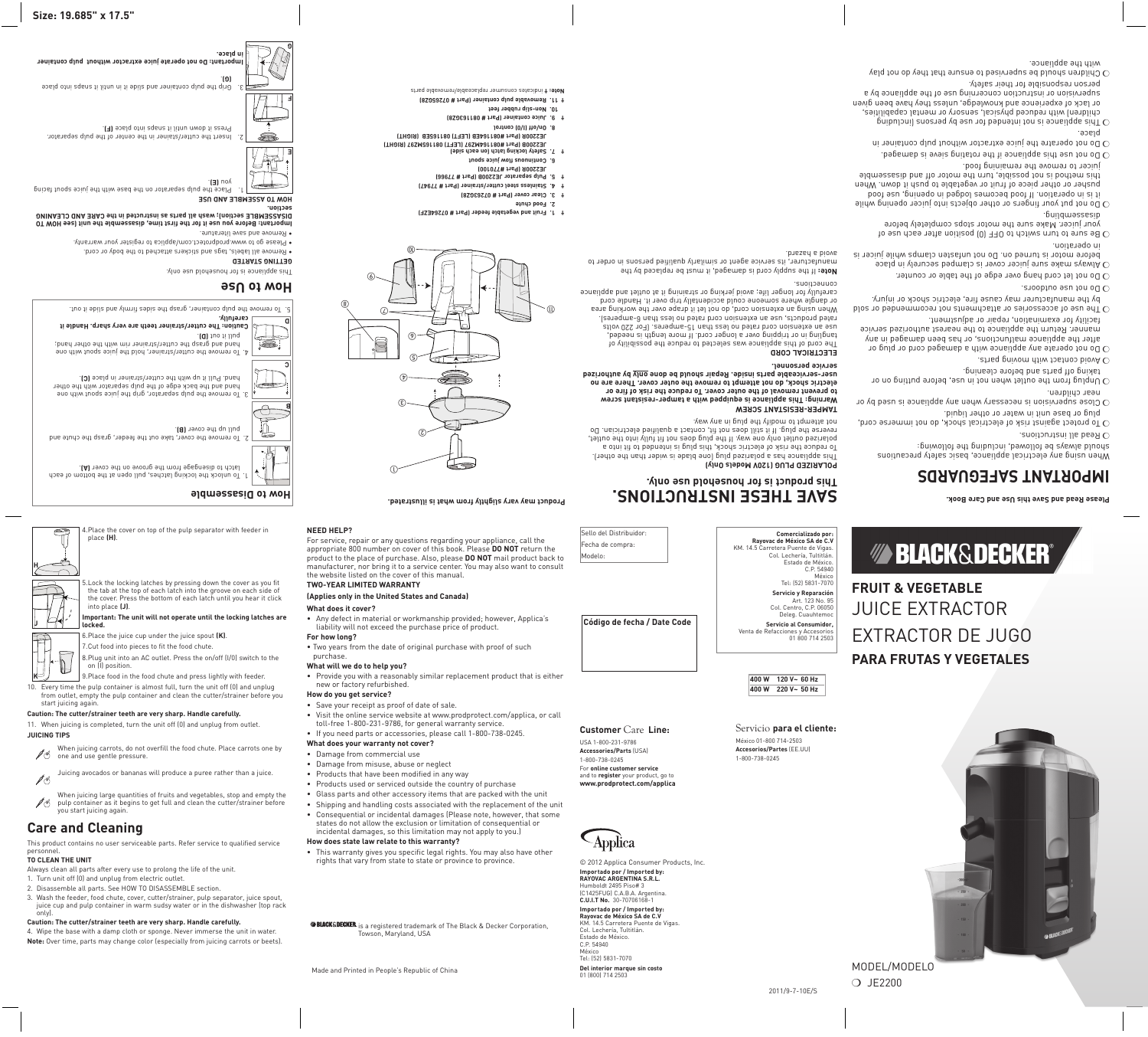### **Size: 19.685" x 17.5"**

**Please Read and Save this Use and Care Book.** 

When using any electrical appliance, basic safety precautions should always be followed, including the following: . Lead all instructions.

## **IMPORTANT SAFEGUARDS**

. To protect against risk of electrical shock, do not immerse cord, plug or base unit in water or other liquid.

- $\sim$ o Close supervision is necessary when any appliance is used by or near children.
- To noting from the outlet when not in use, before putting on or taking off parts and before cleaning.
- . at a grading matrix that with  $\alpha$
- Do not operate any appliance with a damaged cord or plug or after the appliance malfunctions, or has been damaged in any manner. Return the appliance to the nearest authorized service
- facility for examination, repair or adjustment. bloe no behnammopen ton atmemdabile no aeirosabba to eau entiry  $\rm O$ by the manufacturer may cause fire, electric shock or injury.
- . anoobtuo eeu ton o $0<sub>0</sub>$
- . The not let cord hang over edge of the table or counter.
- apalq ni yləricə bəqmab si nəvop nəbiul ənas əxam syawl $\Lambda$   $\mathrm{C}$ before motor is turned on. Do not unfasten clamps while juicer is
- in operation. to seu dose neite noitieoq (0) 770 ot doiwe mut of snue of  $\rm{C}$ your juicer. Make sure the motor stops completely before disassembling.
- $\sigma$  Do not put your fingers or other objects into juicer opening while it is in operation. If food becomes lodged in opening, use food pusher or other piece of fruit or vegetable to push it down. When this method is not possible, turn the motor off and and disassemble juicer to remove the remaining food.
- . Do not use this point in appliance ideaship is dependent of  $\rm{C}$
- $\sigma$  Do not operatre the juice extractor without pulp container in place.
- pnibuloni) anoshed yd eeu not bebnetni ton ai eonailqqa aidT  $\rm{C}$ children) with reduced physical, sensory or mental capabilities, or lack of experience and knowledge, unless they wen diven supervision or instruction concerning use of the appliance by a person responsible for their safety.
- Velq ton ob yeht that ensure that that they do not play with the appliance.

**DOLARIZED PLUG (120V Models Only)** This adt near than the polarized plade is widen than the other). To reduce the risk of electric shock, this plug is intended to fit into a polarized outlet only one way. If the plug does not fit fully into the outlet, reverse the plug. If it it still does not fit, contact a qualified electrician. Do not attempt to modify the plug in any way.

The cord of this appliance was selected to reduce the possibility of tangling in or tripping over a longer cord. If more length is needed, use an extension cord rated no less than 15-amperes. (For 220 volts rated products, use an extension cord rated no less than 6-amperes). When using an extension cord, do not let it drape over the working area or dangle where someone could accidentally trip over it. Handle cord carefully for longer life; avoid jerking or straining it at outlet and appliance couucrious<sup>.</sup>

**If the supply cord is damaged, it must be replaced by the** manufacturer, its service agent or similarly qualified persons in order to avoid a hazard.

## **frUit & veGetable** JUICE EXTRACTOR EXTRACTOR DE JUGO **para frutas y vegetales**

# *MA BLACK&DECKER®*

Model/Modelo

❍ JE2200

© 2012 Applica Consumer Products, Inc.

**SPRIBLE AND USE** Place the pulp separator on the base with the juice spout facing 1. . **(E)** you

Insert the cutter/stainer in the center of the pulp separator. 2. Press it down until it snaps in place (F).

> **Importado por / Imported by: RAYOVAC ArgeNtina s.r.l.**  Humboldt 2495 Piso# 3 (C1425FUG) C.A.B.A. Argentina. **C.U.I.T No.** 30-70706168-1 **Importado por / Imported by: Rayovac de México SA de C.V** KM. 14.5 Carretera Puente de Vigas.

Col. Lechería, Tultitlán. Estado de México. C.P. 54940 México

Tel: (52) 5831-7070

**Del interior marque sin costo**

01 (800) 714 2503

## **E THESE INSTRUCTIONS. V SA This product is for household use only.**

- **Juicing Tips**
- When juicing carrots, do not overfill the food chute. Place carrots one by  $\mathscr{I}\mathscr{G}$  one and use gentle pressure.
- Juicing avocados or bananas will produce a puree rather than a juice. **ASSET**

**TAMPER-RESISTANT SCREW Warning: This appliance is equipped with a tamper-resistant screw to prevent removal of the outer cover. To reduce the risk of fire or electric shock, do not attempt to remove the outer cover. There are no**  user-serviceable parts inside. Repair should be done <u>only</u> by authorized **service personnel.**

 **CORD L ECTRICA LE**

### **How to Use**

- Remove all labels, tags and stickers attached to the body or cord.
	- This appliance is for household use only. **GETTING STARTED**

• Please go to www.prodprotect.com/applica to register your warranty.

#### • Remove and save literature. **Important: Before you use it for the first time, disassemble the unit (see HOW TO eaning Cl and are C E section); wash all parts as instructed in the L DISASSEMB**

**section.**

**BLACK & DECKER** is a registered trademark of The Black & Decker Corporation, Towson, Maryland, USA



## **Important: Do not operate juice extractor without pulp container in place.**

Grip the pulp container and slide it in until it saped of independence

| 4. Place the cover on top of the pulp separator with feeder in<br>place (H).                                                                                                                                                  |
|-------------------------------------------------------------------------------------------------------------------------------------------------------------------------------------------------------------------------------|
| 5. Lock the locking latches by pressing down the cover as you fit<br>the tab at the top of each latch into the groove on each side of<br>the cover. Press the bottom of each latch until you hear it click<br>into place (J). |
| The contractii wat amamata contii tha iaaldwa iatahaa .                                                                                                                                                                       |

**Important: The unit will not operate until the locking latches are locked.**

6.Place the juice cup under the juice spout **(K)**.

7.Cut food into pieces to fit the food chute.

8.Plug unit into an AC outlet. Press the on/off (I/0) switch to the on (I) position.

- 9.Place food in the food chute and press lightly with feeder.
- 10. Every time the pulp container is almost full, turn the unit off (0) and unplug from outlet, empty the pulp container and clean the cutter/strainer before you start juicing again.

#### **Caution: The cutter/strainer teeth are very sharp. Handle carefully.**

11. When juicing is completed, turn the unit off (0) and unplug from outlet.

When juicing large quantities of fruits and vegetables, stop and empty the  $\mathscr{J}$  pulp container as it begins to get full and clean the cutter/strainer before you start juicing again.

## **Care and Cleaning**

This product contains no user serviceable parts. Refer service to qualified service personnel.

#### **To Clean the Unit**

Always clean all parts after every use to prolong the life of the unit.

- 1. Turn unit off (0) and unplug from electric outlet.
- 2. Disassemble all parts. See HOW TO DISASSEMBLE section.
- 3. Wash the feeder, food chute, cover, cutter/strainer, pulp separator, juice spout, juice cup and pulp container in warm sudsy water or in the dishwasher (top rack only).
- **Caution: The cutter/strainer teeth are very sharp. Handle carefully.**

4. Wipe the base with a damp cloth or sponge. Never immerse the unit in water. **Note:** Over time, parts may change color (especially from juicing carrots or beets).

Sello del Distribuidor: Fecha de compra:

Modelo:

**Código de fecha / Date Code**

Servicio **para el cliente:**

México 01-800 714-2503 **Accesorios/Partes** (EE.UU)

1-800-738-0245

**Customer** Care **Line:**

USA 1-800-231-9786 **Accessories/Parts** (USA) 1-800-738-0245

For **online customer service**  and to **register** your product, go to **www.prodprotect.com/applica** **400 W 120 V~ 60 Hz**

**400 W 220 V~ 50 Hz**

### **NEED HELP?**

For service, repair or any questions regarding your appliance, call the appropriate 800 number on cover of this book. Please **DO NOT** return the product to the place of purchase. Also, please **DO NOT** mail product back to manufacturer, nor bring it to a service center. You may also want to consult the website listed on the cover of this manual.

ⓒ

### **Two-Year Limited Warranty**

 $\mathbb O$ 

ⓒ

 $^\circledR$ 

 $\circledcirc$   $\circledcirc$ 

⑥

j

⊙

⑨

⅏

#### **(Applies only in the United States and Canada) What does it cover?**

- Any defect in material or workmanship provided; however, Applica's liability will not exceed the purchase price of product.
- **For how long?**

• Two years from the date of original purchase with proof of such purchase.

- **What will we do to help you?**
- Provide you with a reasonably similar replacement product that is either new or factory refurbished.

**How do you get service?**

- Save your receipt as proof of date of sale.
- Visit the online service website at www.prodprotect.com/applica, or call toll-free 1-800-231-9786, for general warranty service.
- If you need parts or accessories, please call 1-800-738-0245.
- **What does your warranty not cover?**
- Damage from commercial use
- Damage from misuse, abuse or neglect
- Products that have been modified in any way
- Products used or serviced outside the country of purchase
- Glass parts and other accessory items that are packed with the unit
- Shipping and handling costs associated with the replacement of the unit
- Consequential or incidental damages (Please note, however, that some
- states do not allow the exclusion or limitation of consequential or
- incidental damages, so this limitation may not apply to you.) **How does state law relate to this warranty?**
- This warranty gives you specific legal rights. You may also have other rights that vary from state to state or province to province.

Made and Printed in People's Republic of China

**Product may vary slightly from what is illustrated.**

 $\leftrightarrow$ 

**Fruit and vegetable feeder (Part # 07264EZF) 1. †**

**Food chute 2.**

 $^\circledR$ 

- 
- 
- 
- 

**Clear cover (Part # 07263GZ8) 3. †**

- 
- 
- 
- 
- 
- 
- 
- 

**Stainless steel cutter/strainer (Part # 77947) 4. † Pulp separator JE2200B (Part # 77966) 5. † JE2200R (Part #770100) Continuous flow juice spout 6. Safety locking latch (on each side) 7. †**

**EFT) 081165MZ97 (RIGHT) L JE2200B (Part #081164MZ97 ( EFT) 081165EB (RIGHT) L JE2200R (Part #081164EB (** 

**On/off (I/0) control 8.**

- **Removable pulp container (Part # 07265GZ8) 11. †** indicates consumer replaceable/removable parts **Note: †** 
	- **Juice container (Part # 081163GZ8) 9. †**
- **Non-slip rubber feet 10.**
- 



**A**

**C**

**B**

**D**



**F**

**H**

**J**



**G**

**Comercializado por: Rayovac de México SA de C.V** KM. 14.5 Carretera Puente de Vigas. C.P. 54940

Col. Lechería, Tultitlán. Estado de México. México Tel: (52) 5831-7070 **Servicio y Reparación** Art. 123 No. 95

Col. Centro, C.P. 06050 Deleg. Cuauhtemoc **Servicio al Consumidor,** Venta de Refacciones y Accesorios 01 800 714 2503